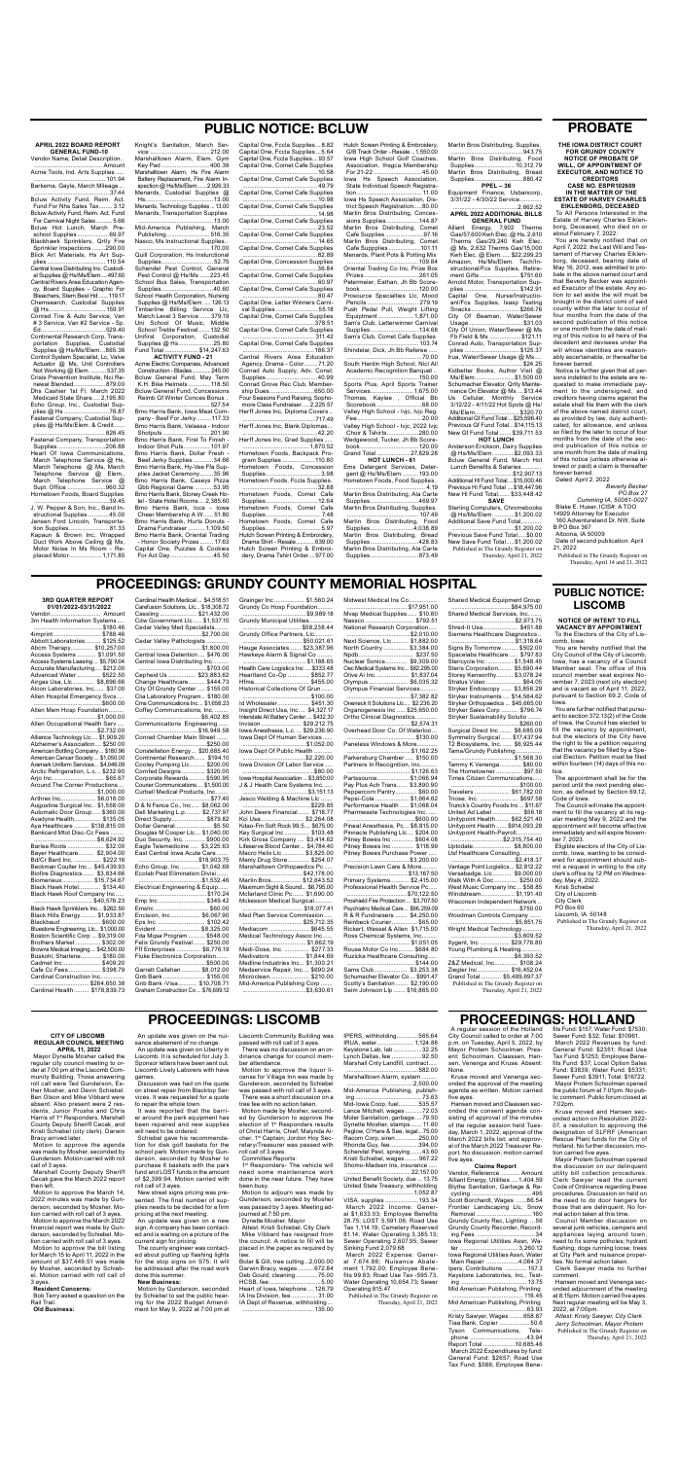# **PROBATE**

**THE IOWA DISTRICT COURT FOR GRUNDY COUNTY NOTICE OF PROBATE OF** 

**WILL, OF APPOINTMENT OF EXECUTOR, AND NOTICE TO CREDITORS**

**CASE NO. ESPR102609 IN THE MATTER OF THE ESTATE OF HARVEY CHARLES** 

**EIKLENBORG, DECEASED** To All Persons Interested in the Estate of Harvey Charles Eiklenborg, Deceased, who died on or about February 7, 2022:

You are hereby notified that on April 7, 2022, the Last Will and Testament of Harvey Charles Eiklenborg, deceased, bearing date of May 16, 2012, was admitted to probate in the above named court and that Beverly Becker was appointed Executor of the estate. Any action to set aside the will must be brought in the district comi of said county within the later to occur of four months from the date of the second publication of this notice or one month from the date of mailing of this notice to all heirs of the decedent and devisees under the will whose identities are reasonably ascertainable, or thereafter be

forever barred. Notice is further given that all persons indebted to the estate are requested to make immediate payment to the undersigned, and creditors having claims against the estate shall file them with the clerk of the above named district court, as provided by law, duly authenticated, for allowance, and unless so filed by the later to occur of four months from the date of the second publication of this notice or one month from the date of mailing of this notice (unless otherwise allowed or paid) a claim is thereafter forever barred. Dated: April 2, 2022

*Beverly Becker PO Box 27 Cumming IA, 50061-0027*

Blake E. Huser, ICIS#: A TOO 14929 Attorney for Executor

160 Adventureland Dr. NW, Suite B PO Box 367

Altoona, IA 50009

Date of second publication: April 21, 2022

Published in The Grundy Register on Thursday, April 14 and 21, 2022

**APRIL 2022 BOARD REPORT GENERAL FUND-10** Vendor Name, Detail Description..

......................................... Amount

Acme Tools, Ind. Arts Supplies ..... ...........................................101.94

Barkema, Gayle, March Mileage... ............................................. 37.44 Bcluw Activity Fund, Reim. Act. Fund For Nhs Sales Tax........ 3.12 Bcluw Activity Fund, Reim. Act. Fund For Carnival Night Sales...........5.66 Bcluw Hot Lunch, March Preschool Supplies ...................69.97 Blackhawk Sprinklers, Qrtly Fire Sprinkler Inspections ........290.00 Blick Art Materials, Hs Art Supplies ................................... 110.54 Central Iowa Distributing Inc. Custodial Supplies @ Hs/Ms/Elem.....497.60 Central Rivers Area Education Agency, Board Supplies - Graphic For Bleachers, Stem Best Hd ......119.17 Chemsearch, Custodial Supplies @ Hs..................................159.91 Conrad Tire & Auto Service, Van # 3 Service, Van #2 Service - Sp. Ed.......................................529.40 Continental Research Corp, Transportation Supplies, Custodial Supplies @ Hs/Ms/Elem...865.36 Control System Specialist, Lc, Valve Actuator @ Ms, Unit Controllers Not Working @ Elem. ..........537.35 Crisis Prevention Institute, Nci Renewal Blended...................879.00 Dhs Cashier 1st Fl, March 2022 Medicaid State Share.....2,195.80 Echo Group, Inc., Custodial Supplies @ Hs ...........................76.87 Fastenal Company, Custodial Supplies @ Hs/Ms/Elem. & Credit... ........................................... 626.45 Fastenal Company, Transportation

> Gbb Regional Game ...........53.95 Bmo Harris Bank, Stoney Creek Hotel - State Hotel Rooms.... 2,385.60 Bmo Harris Bank, Icca - Iowa Cheer Membership A.W...... 51.80 Bmo Harris Bank, Hurts Donuts - Drama Fundraiser .......... 1,109.50 Bmo Harris Bank, Oriental Trading - Honor Society Prizes ........ 17.63 Capital One, Puzzles & Cookies<br>For Act Day..........................45.50 For Act Day.............

Supplies.............................206.88 Heart Of Iowa Communications, March Telephone Service @ Hs. March Telephone @ Ms, March Telephone Service @ Elem., March Telephone Service @ Supt. Office .......................960.32 Hometown Foods, Board Supplies .............................................39.45

J. W. Pepper & Son, Inc., Band Instructional Supplies.............45.00 Jensen Ford Lincoln, Transportation Supplies........................ 81.33 Kapaun & Brown Inc, Wrapped Duct Work Above Ceiling @ Ms, Motor Noise In Ms Room - Replaced Motor....................1,171.85

# **PUBLIC NOTICE: BCLUW** Capital One, Fccla Supplies...8.82

Knight's Sanitation, March Service ....................................212.00 Marshalltown Alarm, Elem. Gym Key Pad .............................400.39 Marshalltown Alarm, Hs Fire Alarm Battery Replacement, Fire Alarm Inspection @ Hs/Ms/Elem.......2,926.33 Menards, Custodial Supplies @ Hs.........................................13.00 Menards, Technology Supplies... 13.00 Menards, Transportation Supplies .............................................13.00 Mid-America Publishing, March Publishing..........................516.35 Nasco, Ms Instructional Supplies.. ...........................................170.00 Quill Corporation, Hs Insturctional Supplies............................... 52.75 Schendel Pest Control, General Pest Control @ Hs/Ms ......223.45 School Bus Sales, Transportation Supplies...............................40.60 School Health Corporation, Nursing Supplies @ Hs/Ms/Elem. .... 126.13 Timberline Billing Service Llc, March Level 3 Service ...... 379.19 Uni School Of Music, Middle School Treble Festival.......132.50 Unifirst Corporation, Custodial Supplies @ Hs.....................25.80 Fund Total .................... \$14,247.63 **ACTIVITY FUND - 21** Acme Electric Companies, Advanced Construction - Blades.............245.00 Bcluw General Fund, May Term K.H. Bike Helmets ............. 118.50 Bcluw General Fund, Concessions Reimb Gf Winter Conces Bonus . ........................................... 527.54 Bmo Harris Bank, Iowa Meat Company - Beef For Jerky.........117.33 Bmo Harris Bank, Velaasa - Indoor Shotputs ............................201.90 Bmo Harris Bank, First To Finish - Indoor Shot Puts................ 101.97 Bmo Harris Bank, Dollar Fresh - Beef Jerky Supplies ............34.66 Bmo Harris Bank, Hy-Vee Ffa Supplies Jacket Ceremony........35.96 Bmo Harris Bank, Caseys Pizza Martin Bros Distributing, Supplies. ...........................................943.75

**GENERAL FUND<br>Alliant Energy, 7,902 Therms** Gas/57,600 Kwh Elec. @ Hs, 2,610 Therms Gas/29,240 Kwh Elec. @ Ms, 2,632 Therms Gas/15,000 Kwh Elec. @ Elem. .....\$22,299.23 Amazon, Hs/Ms/Elem. Tech/Instructional/Fcs Supplies, Retirement Gifts ........................ \$751.60 Arnold Motor, Transportation Supplies ................................. \$142.91 Capital One, Nurse/Instructioanl/Fcs Supplies, Isasp Testing Snacks.............................\$266.76 City Of Beaman, Water/Sewer Usage ................................\$31.03 City Of Union, Water/Sewer @ Ms Fb Field & Ms ...................\$121.11 Conrad Auto, Transportation Supplies ................................. \$125.37 Irua, Water/Sewer Usage @ Ms.... ...........................................\$24.25 Kidbetter Books, Author Visit @ Ms/Elem........................\$1,500.00 Schumacher Elevator, Qrtly Maintenance On Elevator @ Ms ....\$13.44 Us Cellular, Monthly Service 3/12/22 - 4/11/22 Hot Spots @ Hs/ Ms/Elem...........................\$320.70 Additional Gf Fund Total ...\$25,596.40 Previous Gf Fund Total...\$14,115.13 New Gf Fund Total ....... \$39,711.53 **HOT LUNCH** Anderson Erickson, Dairy Supplies

Capital One, Fccla Supplies...5.64 Capital One, Fccla Supplies....93.57 Capital One, Comet Cafe Supplies .............................................10.58 Capital One, Comet Cafe Supplies .............................................49.79 Capital One, Comet Cafe Supplies .............................................10.98 Capital One, Comet Cafe Supplies .............................................14.98 Capital One, Comet Cafe Supplies .............................................23.52 Capital One, Comet Cafe Supplies .............................................14.65 Capital One, Comet Cafe Supplies .............................................82.89 Capital One, Concession Supplies .............................................36.84 Capital One, Comet Cafe Supplies .............................................60.97 Capital One, Comet Cafe Supplies .............................................80.47 Capital One, Letter Winners Carnival Supplies ......................... 55.18 Capital One, Comet Cafe Supplies ........................................... 378.51 Capital One, Comet Cafe Supplies ........................................... 311.42 Capital One, Comet Cafe Supplies ...........................................186.37 Central Rivers Area Education Agency, Drama - Color........ 71.20 Conrad Auto Supply, Adv. Const. Supplies...............................40.99 Conrad Grove Rec Club, Membership Dues...........................650.00 Four Seasons Fund Raising, Sophomore Class Fundraiser .... 2,225.57 Herff Jones Inc, Diploma Covers .. ............................................717.49 Herff Jones Inc, Blank Diplomas... .............................................42.20 Herff Jones Inc, Grad Supplies..... ........................................1,870.52 Hometown Foods, Backpack Program Supplies ................... 110.80 Hometown Foods, Concession Supplies.................................3.98 Hometown Foods, Fccla Supplies. .............................................32.88 Hometown Foods, Comet Cafe Supplies...............................12.64 Hometown Foods, Comet Cafe Supplies................................. 7.48 Hometown Foods, Comet Cafe Supplies.................................5.97 Hutch Screen Printing & Embroidery, Drama Shirt - Resale.............639.00 Hutch Screen Printing & Embroidery, Drama Tshirt Order....977.00

Hutch Screen Printing & Embroidery, G/B Track Order - Resale...1,550.00 Iowa High School Golf Coaches, Association, Ihsgca Membership For 21-22 .............................45.00 Iowa Hs Speech Association, State Individual Speech Registration....................................... 11.00 Iowa Hs Speech Association, District Speech Registration.....80.00 Martin Bros Distributing, Concessions Supplies ...................144.87 Martin Bros Distributing, Comet Cafe Supplies .......................97.16 Martin Bros Distributing, Comet<br>Cafe Suppolies 101.11 Cafe Suppplies...................101.11 Menards, Plant Pots & Potting Mix ...........................................109.84 Oriental Trading Co Inc, Prize Box Prizes.................................261.05 Petermeier, Eathan, Jh Bb Scorebook...................................120.00 Prosource Specialties Llc, Mood Pencils ............................... 279.19 Push Pedal Pull, Weight Lifting Equiptment ..................... 1,871.00 Sam's Club, Letterwinner Carnival Supplies.............................134.68 Sam's Club, Comet Cafe Supplies ........................................... 103.74 Shindelar, Dick, Jh Bb Referee ..... .............................................70.00 South Hardin High School, Nicl All Academic Recognition Banquet .. ...........................................150.00 Sports Plus, April Sports Trainer Services..........................1,675.00 Thomas, Kaylee , Official Bb Scorebook ...........................68.00 Valley High School - Ivjc, Ivjc Reg. Fee.......................................20.00 Valley High School - Ivjc, 2022 Ivjc Choir & Tshirts...................280.00 Wedgewood, Tucker, Jh Bb Scorebook...................................120.00 Grand Total ....................27,829.28 **HOT LUNCH - 61** Ems Detergent Services, Detergent @ Hs/Ms/Elem. .........193.00 Hometown Foods, Food Supplies . ............................................... 4.19 Martin Bros Distributing, Ala Carte Supplies.............................469.97 Martin Bros Distributing, Supplies. ........................................... 107.49 Martin Bros Distributing, Food Supplies..........................4,038.89 Martin Bros Distributing, Bread Supplies.............................428.83

Martin Bros Distributing, Ala Carte Supplies.............................873.49

Martin Bros Distributing, Food Supplies........................ 10,312.79 Martin Bros Distributing, Bread Supplies.............................880.42 **PPEL – 36**

Equipment Finance, Usbancorp, 3/31/22 - 4/30/22 Service............. .......................................2,862.52

**APRIL 2022 ADDITIONAL BILLS**

@ Hs/Ms/Elem. ............\$2,093.33 Bcluw General Fund, March Hot Lunch Benefits & Salaries............

.....................................\$12,907.13 Additional Hl Fund Total....\$15,000.46 Previous HI Fund Total ....\$18,447.96 New Hl Fund Total....... \$33,448.42

Grundy County Rec, Lighting ...56 Grundy County Recorder, Recording Fees ...................................34 Iowa Regional Utilities Assn, Water ................................... 3,260.12 Iowa Regional Utilities Assn, Water Main Repair ..................4,084.37<br>pers, Contributions ............ 157.3

**SAVE** Sterling Computers, Chromebooks @ Hs/Ms/Elem. ............\$1,200.02 Additional Save Fund Total,...........

......................................\$1,200.02 Previous Save Fund Total.....\$0.00 New Save Fund Total.....\$1,200.02 Published in The Grundy Register on Thursday, April 21, 2022

# **PROCEEDINGS: GRUNDY COUNTY MEMORIAL HOSPITAL**

### **3RD QUARTER REPORT 01/01/2022-03/31/2022**

| Vendor Amount                                                 |
|---------------------------------------------------------------|
| 3m Health Information Systems                                 |
|                                                               |
| 4imprint  \$788.46                                            |
| Abbott Laboratories  \$125.52                                 |
| Abcm Therapy \$10,257.00                                      |
| Access Systems  \$1,091.50                                    |
| Access Systems Leasing  \$5,790.04                            |
| Accurate Manufacturing \$212.00                               |
| Advanced Water  \$522.50                                      |
|                                                               |
| Airgas Usa, Llc \$8,896.66<br>Alcon Laboratories, Inc \$37.00 |
| Allen Hospital Emergency Svcs                                 |
|                                                               |
| Allen Mem Hosp Foundation                                     |
|                                                               |
| \$1,000.00                                                    |
| Allen Occupational Health Serv                                |
| \$2,732.00                                                    |
| Alliance Technology Llc \$1,909.20                            |
| Alzheimer's Association \$250.00                              |
| American Bottling Company \$180.96                            |
| American Cancer Society  \$1,050.00                           |
| Aramark Uniform Services \$4,046.09                           |
| Arctic Refrigeration, L.c \$232.90                            |
| Arjo Inc \$65.67                                              |
| Around The Corner Productions                                 |
| \$1,000.00                                                    |
| Arthrex Inc \$6,018.00                                        |
| Augustine Surgical Inc \$1,558.00                             |
| Automatic Door Group \$360.00                                 |
| Avadyne Health \$135.05                                       |
|                                                               |
| Aya Healthcare  \$138,815.00<br>Bankcard Mtot Disc-Cc Fees    |
|                                                               |
|                                                               |
| Barlea Roots  \$32.00                                         |
| Bayer Healthcare  \$2,904.00                                  |
| Bd/Cr Bard Inc.  \$222.16                                     |
| Beckman Coulter Inc \$45,439.93                               |
| Biofire Diagnostics \$3,834.66                                |
| Biomerieux \$15,734.67                                        |
| Black Hawk Hotel \$134.40                                     |
| Black Hawk Roof Company Inc                                   |
| \$40,576.23                                                   |
| Black Hawk Sprinklers Inc \$262.50                            |
| Black Hills Energy \$1,933.87                                 |
| Blackbaud  \$600.00                                           |
| Bluestone Engineering, Llc \$1,000.00                         |
| Boston Scientific Corp  \$9,319.00                            |
| Brothers Market  \$302.00                                     |
| Browns Medical Imaging  \$42,500.00                           |
| Buskohl, Sharlene \$180.00                                    |
| Cadmet Inc \$409.20                                           |
|                                                               |
| Cafe Cc Fees \$398.79<br>Cardinal Construction Inc            |
|                                                               |
| \$264,650.38                                                  |
| Cardinal Health  \$178,839.73                                 |

1st Responders- The vehicle will need some maintenance work done in the near future. They have been busy.

IPERS, withholding.............565.64 IRUA, water...................... 1,124.88 Keystone Lab, lab .................32.25 Lynch Dallas, fee ..................92.50 Marshall Cnty Landfill, contract..... ...........................................582.00 Marshalltown Alarm, system.

Cardinal Health Medical ... \$4,518.51 Carefusion Solutions, Llc... \$18,308.72 Cassling ...................... \$21,432.00 Cdw Government Llc ..... \$1,537.10 Cedar Valley Med Specialists. ......................................\$2,700.00 Cedar Valley Pathologists .... ......................................\$1,800.00 Central Iowa Detention.... \$476.00 Central Iowa Distributing Inc. ........<br>
\$703.00. .........................................\$703.00 Cepheid Us ................ \$23,883.62 Change Healthcare.......... \$444.73 City Of Grundy Center..... \$155.00 Clia Laboratory Program... \$180.00 Cms Communications Inc... \$1,658.23 Coffey Communications, Inc. ........ ..................................... \$6,402.85 Communications Engineering ..... ....................................\$16,949.58 Conrad Chamber Main Street ....... .........................................\$250.00

> ........................................2,500.00 Mid-America Publishing, publishing ........................................73.63 Mid-Iowa Coop, fuel....... Lance Mitchell, wages ..........72.03 Moler Sanitation, garbage ....79.50 Dynette Mosher, stamps....... 11.60 Peglow, O'Hare & See, legal...75.00 Racom Corp, siren..................250.00<br>Rhonda Guy fee 394.00 Rhonda Guy, fee.............. Schendel Pest, spraying.......43.60 Kristi Schiebel, wages ........967.22 Shomo-Madsen Ins, insurance ...

Constellation Energy... \$20,685.40 Continental Research...... \$194.10 Cooley Pumping Llc......... \$200.00

> The Council will make the appointment to fill the vacancy at its regular meeting May 9, 2022 and the appointment will become effective immediately and will expire November 7, 2023. Eligible electors of the City of Lis-

| COOICY FUITIDING LIC \$200.00      |  |
|------------------------------------|--|
| Cornfed Designs \$320.00           |  |
| Corporate Rewards \$590.95         |  |
| Courier Communications, \$1.500.00 |  |
| Curbell Medical Products, Inc.     |  |
|                                    |  |
| D & N Fence Co., Inc \$8,062.00    |  |
| Dell Marketing L.p \$2,737.97      |  |
| Direct Supply \$879.82             |  |
| Dollar General \$5.50              |  |
| Douglas M Cooper Llc \$1,040.00    |  |
| Duo Security, Inc.  \$900.00       |  |
| Eagle Telemedicine  \$3,225.63     |  |
| East Central Iowa Acute Care       |  |
| \$18,903.75                        |  |
| Echo Group, Inc.  \$1,042.69       |  |
| Ecolab Pest Elimination Divisi     |  |
| \$1,532.46                         |  |
| Electrical Engineering & Equip     |  |
|                                    |  |
| Emp Inc \$349.42                   |  |
| Emslrc  \$60.00                    |  |
| Encision, Inc \$6,067.90           |  |
| Eps Inc.  \$102.42                 |  |
| Evident  \$8,325.00                |  |
| Fda Mqsa Program  \$548.00         |  |
| Felix Grundy Festival \$250.00     |  |
| Fff Enterprises  \$8,776.19        |  |
| Fluke Electronics Corporation      |  |
| \$500.00                           |  |
| Garratt Callahan  \$8,012.00       |  |
| Gnb Bank  \$155.00                 |  |
| Gnb Bank - Visa \$10,708.71        |  |
| Graham Construction Co \$76,699.12 |  |
|                                    |  |

Grainger Inc .................. \$1,560.24 Grundy Co Hosp Foundation. ........<sub>\$9.989</sub>...... Grundy Municipal Utilities... ................................... \$58,238.44 Grundy Office Partners, Llc........... ....................................\$50,021.61 Hauge Associates....... \$23,387.96 Hawkeye Alarm & Signal Co .... ...................................... \$1,188.65 Health Care Logistics Inc .... \$333.48 Heartland Co-Op ............. \$852.77<br>Hfma.................................. \$455.00 Hfma.......................... Historical Collections Of Grun.... .........................................\$100.00 Id Wholesaler................... \$451.30 Insight Direct Usa, Inc.... \$4,327.17 Interstate All Battery Center.... \$432.30 Invision........................ \$29,212.75 Iowa Anesthesia, L.c. ... \$29,236.90 Iowa Dept Of Human Services...... ......................................\$1,052.00 Iowa Dept Of Public Health ......................................\$2,220.00 Iowa Division Of Labor Service.....<br>S80.00 ...........................................\$80.00 Iowa Hospital Association ... \$3,850.00 J & J Health Care Systems Inc. .......................................\$3,151.13 Jesco Welding & Machine Llc .........................................\$229.85 John Deere Financial....... \$718.77 Kci Usa......................... \$2,264.08 Kdao-Fm Soft Rock 99.5.... \$675.00 Key Surgical Inc ............... \$103.48 Kirk Gross Company .... \$3,414.62 Lifeserve Blood Center... \$4,784.40 Macro Helix Llc ............. \$3,825.00 Manly Drug Store............. \$254.07 Marshalltown Orthopaedics Pc ..... ....................................\$42,178.00 Martin Bros.................. \$12,643.52 Maximum Sight & Sound... \$6,795.00 Mcfarland Clinic Pc....... \$1,690.00 Mckesson Medical Surgical. .................................... \$18,077.41 Med Plan Service Commission ..... ....................................\$25,712.35 Mediacom ........................ \$645.55 mediact... ....<br>Medical Technology Assoc Inc... ...................................... \$1,662.19 Medi-Dose, Inc. ............... \$277.33 Medivators .................... \$1,844.69 Medline Industries Inc... \$1,300.21 Medservice Repair, Inc.... \$690.24 Microclean........................ \$210.00 Mid-America Publishing Corp ....... ......................................\$3,630.61

Midwest Medical Ins Co................. .................................... \$17,951.00 Mvap Medical Supplies...... \$10.80 Nassco ............................. \$792.51 National Research Corporation..... ......................................\$2,010.00 Next Science, Llc.......... \$1,882.00 North Country .............. \$3,384.00 Npdb................................. \$237.50 Nuclear Sonics............. \$9,309.00 Oec Medical Systems Inc... \$82,295.00 Olive Ai Inc.................... \$1,837.04 Olympus........................ \$6,035.32 Olympus Financial Services.......... ......................................\$7,382.82 Oneneck It Solutions Llc.... \$2,236.20 Organogenesis Inc ..... \$25,650.00 Ortho Clinical Diagnostics... ......................................\$2,574.31 Overhead Door Co. Of Waterloo... .........................................\$130.00

Paneless Windows & More............ ...................................... \$1,162.25 Parkersburg Chamber ..... \$150.00 Partners In Recognition, Inc... ...................................... \$1,126.63 Partssource................... \$1,066.94 Pay Plus Ach Trans...... \$3,890.90 Peppercorn Pantry.............. \$60.00 Pepsi-Cola .................... \$1,664.62 Performance Health ..... \$1,068.04 Pharmwaste Technologies Inc. .....<br>
\$600,000 .........................................\$600.00 Pineal Anesthesia, Pc... \$8,815.00 Pinnacle Publishing Llc.... \$204.00 Pitney Bowes Inc ............. \$604.08 Pitney Bowes Inc ............. \$118.99 Pitney Bowes Purchase Power ..... ..................................... \$3,200.00 Precision Lawn Care & More......... .....................................\$13,167.50 Primary Systems........... \$2,415.00 Professional Health Service Pc... ....................................\$70,122.50 Proshield Fire Protection ... \$3,707.50 Psychiatric Medical Care... \$96,259.09 R & R Fundraisers ....... \$4,250.00 Reinbeck Courier............... \$65.00 Rickert, Wessel & Allen \$1,715.00 Ross Chemical Systems, Inc......... ...................................... \$1,051.05 Rouse Motor Co Inc......... \$684.80 Ruzicka Healthcare Consulting..... .........................................\$144.00 Sams Club.................... \$3,253.38 Schumacher Elevator Co ... \$991.47 Scotty's Sanitation........ \$2,190.00

Seim Johnson Llp ....... \$16,865.00

Shared Medical Equipment Group ....................................\$84,975.00 Shared Medical Services, Inc. ...... ......................................\$2,973.75 Shred-It Usa........... Siemens Healthcare Diagnostics ......................................\$1,318.64 Signs By Tomorrow.......... \$502.00 Spacelabs Healthcare ..... \$797.83 Stericycle Inc ................ \$1,548.45 Steris Corporation........ \$5,690.44 Storey Kenworthy.......... \$3,078.24 Stratus Video ..................... \$64.05 Stryker Endoscopy ...... \$3,856.29 Stryker Instruments .... \$14,564.62 Stryker Orthopaedics ... \$45,665.00 Stryker Sales Corp .......... \$796.74 Stryker Sustainability Solutio ........ .........................................\$260.00 Surgical Direct Inc ....... \$8,685.09 Symmetry Surgical ...... \$17,437.94 T2 Biosystems, Inc. ..... \$6,925.44 Tama/Grundy Publishing ...............<br>
\$1,568.30 ......................................\$1,568.30 Tammy K Venenga............. \$80.00 The Hometowner ............... \$97.50 Times Citizen Communications..... .........................................\$100.00 Travelers ..................... \$61,782.00 Triose, Inc. ....................... \$697.58 Trunck's Country Foods Inc ... \$11.67 United Ad Label ................. \$56.18 Unitypoint Health ........ \$62,521.40 Unitypoint Health ...... \$914,093.28 Unitypoint Health-Payroll............... ...............................\$2,315,754.40 Uptodate....................... \$8,800.00 Usf Healthcare Consulting............. ......................................\$2,418.37 Vantage Point Logistics... \$2,812.22 Versabadge, Llc ........... \$9,000.00 Walk With A Doc .............. \$250.00 West Music Company Inc ... \$58.85 Windstream.................... \$1,191.40 Wisconsin Independent Network .........................................\$750.00 Woodman Controls Company ....... ...................................... \$5,851.75 Wright Medical Technology ........... ......................................\$3,609.52 Xygent, Inc .................. \$29,776.80 Young Plumbing & Heating............ ......................................\$6,393.52 Z&Z Medical, Inc.............. \$108.24 Ziegler Inc ................... \$16,452.04 Grand Total ............ \$5,489,697.37 Published in The Grundy Register on

Thursday, April 21, 2022

Mayor Protem Schoolman. Present: Schoolman, Claassen, Hansen, Venenga and Kruse. Absent:

None.

Kruse moved and Venenga seconded the approval of the meeting agenda as written. Motion carried

five ayes.

Hansen moved and Claassen seconded the consent agenda consisting of approval of the minutes of the regular session held Tuesday, March 1, 2022; approval of the March 2022 bills list; and approval of the March 2022 Treasurer Report. No discussion, motion carried

five ayes.

Removal ...........

Ipers, Contributions ...

**Claims Report** Vendor, Reference ........... Amount Alliant Energy, Utilities ....1,404.59 Blythe Sanitation, Garbage & Recycling ....................................495 Scott Borchardt, Wages ......86.54 Frontier Landscaping Llc, Snow

#### **PROCEEDINGS: HOLLAND** A regular session of the Holland City Council called to order at 7:00 p.m. on Tuesday, April 5, 2022, by fits Fund: \$157; Water Fund: \$7530; Sewer Fund: \$32; Total: \$10961.

Keystone Laboratories, Inc., Testing ....................................... 13.75 Mid American Publishing, Printing ........................................... 116.45 Mid American Publishing, Printing

.............................................63.93 Kristy Sawyer, Wages ........658.87 Tiaa Bank, Copier ....................50.6<br>Tyson Communications, Tele-Tyson Communications, Telephone ............................... Report Total ...................10,685.46 March 2022 Expenditures by fund: General Fund: \$2657; Road Use Tax Fund: \$586; Employee Bene-

March 2022 Revenues by fund: General Fund: \$2351; Road Use Tax Fund: \$1253; Employee Benefits Fund: \$37; Local Option Sales Fund: \$3839; Water Fund: \$5331; Sewer Fund: \$3911; Total: \$16722. Mayor Protem Schoolman opened the public forum at 7:01pm. No public comment. Public forum closed at

7:02pm. Kruse moved and Hansen seconded action on Resolution 2022- 07, a resolution to approving the designation of SLFRF (American Rescue Plan) funds for the City of Holland. No further discussion, motion carried five ayes.

Mayor Protem Schoolman opened the discussion on our delinquent utility bill collection procedures. Clerk Sawyer read the current Code of Ordinance regarding these procedures. Discussion on held on the need to do door hangers for those that are delinquent. No formal action taken at this time.

Council Member discussion on several junk vehicles, campers and appliances laying around town; need to fix some potholes; hydrant flushing; dogs running loose; trees at City Park and nuisance properties. No formal action taken.

Clerk Sawyer made no further comment.

Hansen moved and Venenga seconded adjournment of the meeting at 8:15pm. Motion carried five ayes. Next regular meeting will be May 3, 2022, at 7:00pm.

*Attest: Kristy Sawyer, City Clerk Jerry Schoolman, Mayor Protem* Published in The Grundy Register on Thursday, April 21, 2022

# **PROCEEDINGS: LISCOMB**

**CITY OF LISCOMB REGULAR COUNCIL MEETING APRIL 11, 2022**

Mayor Dynette Mosher called the regular city council meeting to order at 7:00 pm at the Liscomb Community Building. Those answering roll call were Ted Gunderson, Esther Mosher, and Devin Schiebel. Ben Olson and Mike Vibbard were absent. Also present were 2 residents, Junior Prusha and Chris Harris of 1st Responders, Marshall County Deputy Sheriff Cecak, and Kristi Schiebel (city clerk). Darwin Bracy arrived later.

Motion to approve the agenda was made by Mosher, seconded by Gunderson. Motion carried with roll call of 3 ayes.

Marshall County Deputy Sheriff Cecak gave the March 2022 report then left.

Motion to approve the March 14, 2022 minutes was made by Gunderson, seconded by Mosher. Motion carried with roll call of 3 ayes. Motion to approve the March 2022 financial report was made by Gunderson, seconded by Schiebel. Motion carried with roll call of 3 ayes. Motion to approve the bill listing for March 15 to April 11, 2022 in the amount of \$37,449.51 was made by Mosher, seconded by Schiebel. Motion carried with roll call of 3 ayes.

**Resident Concerns:**

Bob Terry asked a question on the Rail Trail.

**Old Business:**

An update was given on the nuisance abatement of no change. An update was given on Liberty in Liscomb. It is scheduled for July 3. Sponsor letters have been sent out. Liscomb Lively Laborers with have games. Discussion was had on the quote

on street repair from Blacktop Services. It was requested for a quote to repair the whole town.

It was reported that the barrier around the park equipment has been repaired and new supplies will need to be ordered.

Schiebel gave his recommendation for disk golf baskets for the school park. Motion made by Gunderson, seconded by Mosher to purchase 6 baskets with the park fund and LOST funds in the amount of \$2,399.94. Motion carried with roll call of 3 ayes.

New street signs pricing was presented. The final number of supplies needs to be decided for a firm pricing at the next meeting.

An update was given on a new sign. A company has been contacted and is waiting on a picture of the current sign for pricing.

The county engineer was contacted about putting up flashing lights for the stop signs on S75. be addressed after the road work done this summer.

#### **New Business:**

Motion by Gunderson, seconded by Schiebel to set the public hearing for the 2022 Budget Amendment for May 9, 2022 at 7:00 pm at Liscomb Community Building was passed with roll call of 3 ayes. There was no discussion on an or-

dinance change for council member attendance. Motion to approve the liquor li-

cense for Village Inn was made by Gunderson, seconded by Schiebel was passed with roll call of 3 ayes. There was a short discussion on a

tree fee with no action taken. Motion made by Mosher, seconded by Gunderson to approve the election of 1st Responders results of Christ Harris, Chief; Malynda Aicher, 1st Captain; Jordon Hoy Secretary/Treasurer was passed with roll call of 3 ayes.

Committee Reports:

Motion to adjourn was made by Gunderson, seconded by Mosher was passed by 3 ayes. Meeting adjourned at 7:50 pm.

Dynette Mosher, Mayor

Attest: Kristi Schiebel, City Clerk Mike Vibbard has resigned from the council. A notice to fill will be placed in the paper as required by law.

| Bolar & Gill, tree cutting2,000.00 |        |
|------------------------------------|--------|
| Darwin Bracy, wages672.84          |        |
| Deb Gould, cleaning75.00           |        |
| HCSB, fee 5.00                     |        |
| Heart of Iowa, telephone  126.79   |        |
| IA Ins Division, fee  31.00        |        |
| IA Dept of Revenue, withholding    |        |
|                                    | 135.00 |

...................................... 22,157.00 United Benefit Society, due ... 13.75 United State Treasury, withholding ........................................1,052.87

VISA, supplies ....................193.34 March 2022 Income: General \$1,633.03; Employee Benefits 28.75; LOST 5,591.06; Road Use Tax 1,114.19; Cemetery Reserved 81.14; Water Operating 3,385.13; Sewer Operating 2,607.95; Sewer Sinking Fund 2,079.68

March 2022 Expense: General 7,674.86; Nuisance Abatement 1,792.00; Employee Benefits 99.83; Road Use Tax -595.73, Water Operating 10,654.73; Sewer Operating 815.47

Published in The Grundy Register on Thursday, April 21, 2022 **PUBLIC NOTICE: LISCOMB**

#### **NOTICE OF INTENT TO FILL VACANCY BY APPOINTMENT** To the Electors of the City of Lis-

comb, Iowa: You are hereby notified that the City Council of the City of Liscomb, Iowa, has a vacancy of a Council Member seat. The office of this council member seat expires November 7, 2023 (next city election) and is vacant as of April 11, 2022, pursuant to Section 69.2, Code of

Iowa. You are further notified that pursuant to section 372.13(2) of the Code of Iowa, the Council has elected to fill the vacancy by appointment, but the electors of the City have the right to file a petition requiring that the vacancy be filled by a Special Election. Petition must be filed within fourteen (14) days of this no-

tice. The appointment shall be for the period until the next pending election, as defined by Section 69.12, Code of Iowa.

comb, Iowa, wanting to be considered for appointment should submit a request in writing to the city clerk's office by 12 PM on Wednesday, May 4, 2022. Kristi Schiebel City of Liscomb City Clerk PO Box 60 Liscomb, IA 50148 Published in The Grundy Register on Thursday, April 21, 2022